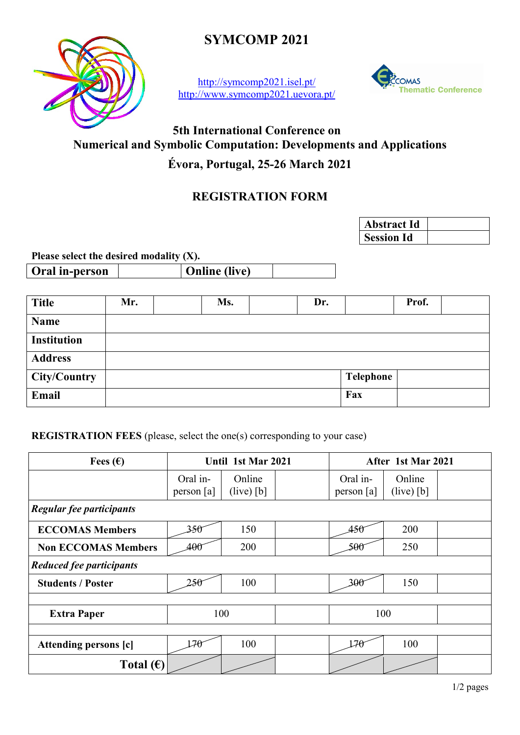

**SYMCOMP 2021**

<http://symcomp2021.isel.pt/> <http://www.symcomp2021.uevora.pt/>



# **5th International Conference on Numerical and Symbolic Computation: Developments and Applications**

## **Évora, Portugal, 25-26 March 2021**

## **REGISTRATION FORM**

| <b>Abstract Id</b> |  |
|--------------------|--|
| <b>Session Id</b>  |  |

**Please select the desired modality (X).**

**Oral in-person Online (live)** 

| <b>Title</b>       | Mr. | Ms. | Dr. |           | Prof. |  |
|--------------------|-----|-----|-----|-----------|-------|--|
| <b>Name</b>        |     |     |     |           |       |  |
| <b>Institution</b> |     |     |     |           |       |  |
| <b>Address</b>     |     |     |     |           |       |  |
| City/Country       |     |     |     | Telephone |       |  |
| Email              |     |     |     | Fax       |       |  |

**REGISTRATION FEES** (please, select the one(s) corresponding to your case)

| Fees $(\epsilon)$          | Until 1st Mar 2021       |                        |  | After 1st Mar 2021       |                        |  |  |  |  |
|----------------------------|--------------------------|------------------------|--|--------------------------|------------------------|--|--|--|--|
|                            | Oral in-<br>person $[a]$ | Online<br>$(live)$ [b] |  | Oral in-<br>person $[a]$ | Online<br>$(live)$ [b] |  |  |  |  |
| Regular fee participants   |                          |                        |  |                          |                        |  |  |  |  |
| <b>ECCOMAS Members</b>     | 350                      | 150                    |  | 450                      | 200                    |  |  |  |  |
| <b>Non ECCOMAS Members</b> | 400                      | 200                    |  | 500                      | 250                    |  |  |  |  |
| Reduced fee participants   |                          |                        |  |                          |                        |  |  |  |  |
| <b>Students / Poster</b>   | 250                      | 100                    |  | 300                      | 150                    |  |  |  |  |
|                            |                          |                        |  |                          |                        |  |  |  |  |
| <b>Extra Paper</b>         |                          | 100                    |  | 100                      |                        |  |  |  |  |
|                            |                          |                        |  |                          |                        |  |  |  |  |
| Attending persons [c]      | 170                      | 100                    |  | 170                      | 100                    |  |  |  |  |
| Total $(\epsilon)$         |                          |                        |  |                          |                        |  |  |  |  |